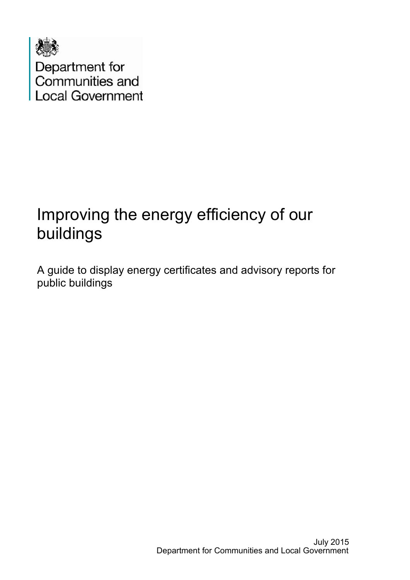

# Improving the energy efficiency of our buildings

A guide to display energy certificates and advisory reports for public buildings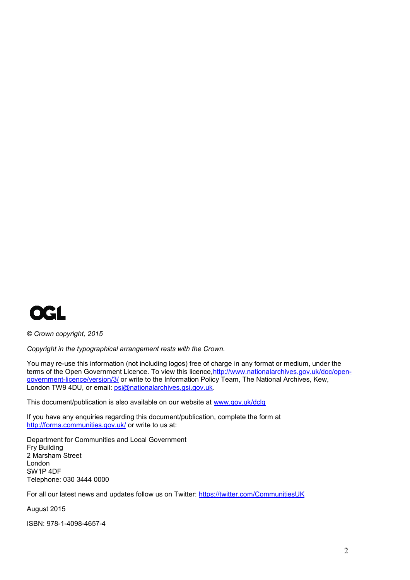

*© Crown copyright, 2015*

*Copyright in the typographical arrangement rests with the Crown.*

You may re-use this information (not including logos) free of charge in any format or medium, under the terms of the Open Government Licence. To view this licence, http://www.nationalarchives.gov.uk/doc/open[government-licence/version/3/](http://www.nationalarchives.gov.uk/doc/open-government-licence/version/3/) or write to the Information Policy Team, The National Archives, Kew, London TW9 4DU, or email: [psi@nationalarchives.gsi.gov.uk.](mailto:psi@nationalarchives.gsi.gov.uk)

This document/publication is also available on our website at [www.gov.uk/dclg](http://www.gov.uk/dclg)

If you have any enquiries regarding this document/publication, complete the form at <http://forms.communities.gov.uk/> or write to us at:

Department for Communities and Local Government Fry Building 2 Marsham Street London SW1P 4DF Telephone: 030 3444 0000

For all our latest news and updates follow us on Twitter:<https://twitter.com/CommunitiesUK>

August 2015

ISBN: 978-1-4098-4657-4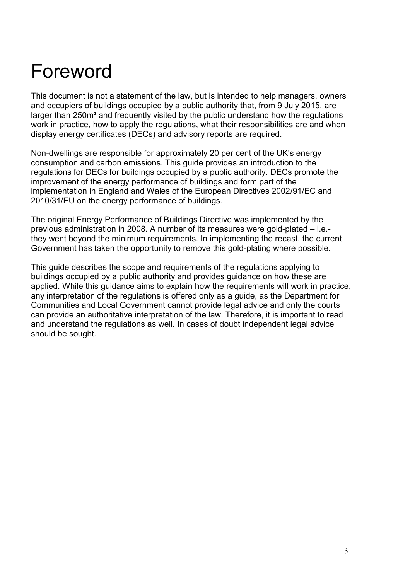# Foreword

This document is not a statement of the law, but is intended to help managers, owners and occupiers of buildings occupied by a public authority that, from 9 July 2015, are larger than 250m² and frequently visited by the public understand how the regulations work in practice, how to apply the regulations, what their responsibilities are and when display energy certificates (DECs) and advisory reports are required.

Non-dwellings are responsible for approximately 20 per cent of the UK's energy consumption and carbon emissions. This guide provides an introduction to the regulations for DECs for buildings occupied by a public authority. DECs promote the improvement of the energy performance of buildings and form part of the implementation in England and Wales of the European Directives 2002/91/EC and 2010/31/EU on the energy performance of buildings.

The original Energy Performance of Buildings Directive was implemented by the previous administration in 2008. A number of its measures were gold-plated – i.e. they went beyond the minimum requirements. In implementing the recast, the current Government has taken the opportunity to remove this gold-plating where possible.

This guide describes the scope and requirements of the regulations applying to buildings occupied by a public authority and provides guidance on how these are applied. While this guidance aims to explain how the requirements will work in practice, any interpretation of the regulations is offered only as a guide, as the Department for Communities and Local Government cannot provide legal advice and only the courts can provide an authoritative interpretation of the law. Therefore, it is important to read and understand the regulations as well. In cases of doubt independent legal advice should be sought.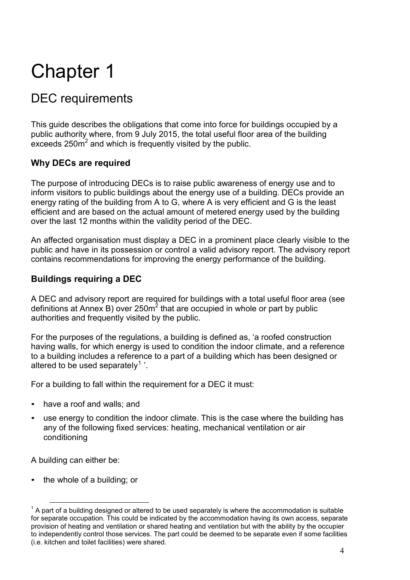# DEC requirements

This guide describes the obligations that come into force for buildings occupied by a public authority where, from 9 July 2015, the total useful floor area of the building exceeds 250 $m^2$  and which is frequently visited by the public.

## **Why DECs are required**

The purpose of introducing DECs is to raise public awareness of energy use and to inform visitors to public buildings about the energy use of a building. DECs provide an energy rating of the building from A to G, where A is very efficient and G is the least efficient and are based on the actual amount of metered energy used by the building over the last 12 months within the validity period of the DEC.

An affected organisation must display a DEC in a prominent place clearly visible to the public and have in its possession or control a valid advisory report. The advisory report contains recommendations for improving the energy performance of the building.

## **Buildings requiring a DEC**

A DEC and advisory report are required for buildings with a total useful floor area (see definitions at Annex B) over 250 $m^2$  that are occupied in whole or part by public authorities and frequently visited by the public.

For the purposes of the regulations, a building is defined as, 'a roofed construction having walls, for which energy is used to condition the indoor climate, and a reference to a building includes a reference to a part of a building which has been designed or altered to be used separately<sup>1</sup>.

For a building to fall within the requirement for a DEC it must:

- have a roof and walls; and
- use energy to condition the indoor climate. This is the case where the building has any of the following fixed services: heating, mechanical ventilation or air conditioning

A building can either be:

the whole of a building; or

 $1$  A part of a building designed or altered to be used separately is where the accommodation is suitable for separate occupation. This could be indicated by the accommodation having its own access, separate provision of heating and ventilation or shared heating and ventilation but with the ability by the occupier to independently control those services. The part could be deemed to be separate even if some facilities (i.e. kitchen and toilet facilities) were shared.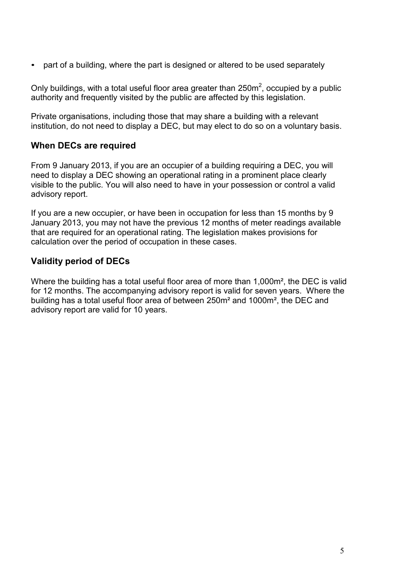• part of a building, where the part is designed or altered to be used separately

Only buildings, with a total useful floor area greater than  $250m^2$ , occupied by a public authority and frequently visited by the public are affected by this legislation.

Private organisations, including those that may share a building with a relevant institution, do not need to display a DEC, but may elect to do so on a voluntary basis.

#### **When DECs are required**

From 9 January 2013, if you are an occupier of a building requiring a DEC, you will need to display a DEC showing an operational rating in a prominent place clearly visible to the public. You will also need to have in your possession or control a valid advisory report.

If you are a new occupier, or have been in occupation for less than 15 months by 9 January 2013, you may not have the previous 12 months of meter readings available that are required for an operational rating. The legislation makes provisions for calculation over the period of occupation in these cases.

### **Validity period of DECs**

Where the building has a total useful floor area of more than 1,000m<sup>2</sup>, the DEC is valid for 12 months. The accompanying advisory report is valid for seven years. Where the building has a total useful floor area of between 250m² and 1000m², the DEC and advisory report are valid for 10 years.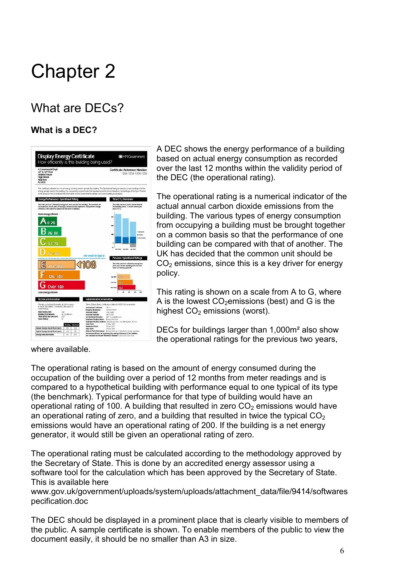# What are DECs?

# **What is a DEC?**



A DEC shows the energy performance of a building based on actual energy consumption as recorded over the last 12 months within the validity period of the DEC (the operational rating).

The operational rating is a numerical indicator of the actual annual carbon dioxide emissions from the building. The various types of energy consumption from occupying a building must be brought together on a common basis so that the performance of one building can be compared with that of another. The UK has decided that the common unit should be  $CO<sub>2</sub>$  emissions, since this is a key driver for energy policy.

This rating is shown on a scale from A to G, where A is the lowest  $CO<sub>2</sub>$ emissions (best) and G is the highest  $CO<sub>2</sub>$  emissions (worst).

DECs for buildings larger than 1,000m² also show the operational ratings for the previous two years,

where available.

The operational rating is based on the amount of energy consumed during the occupation of the building over a period of 12 months from meter readings and is compared to a hypothetical building with performance equal to one typical of its type (the benchmark). Typical performance for that type of building would have an operational rating of 100. A building that resulted in zero  $CO<sub>2</sub>$  emissions would have an operational rating of zero, and a building that resulted in twice the typical  $CO<sub>2</sub>$ emissions would have an operational rating of 200. If the building is a net energy generator, it would still be given an operational rating of zero.

The operational rating must be calculated according to the methodology approved by the Secretary of State. This is done by an accredited energy assessor using a software tool for the calculation which has been approved by the Secretary of State. This is available here

[www.gov.uk/government/uploads/system/uploads/attachment\\_data/file/9414/softwares](https://www.gov.uk/government/uploads/system/uploads/attachment_data/file/9414/softwarespecification.doc) [pecification.doc](https://www.gov.uk/government/uploads/system/uploads/attachment_data/file/9414/softwarespecification.doc)

The DEC should be displayed in a prominent place that is clearly visible to members of the public. A sample certificate is shown. To enable members of the public to view the document easily, it should be no smaller than A3 in size.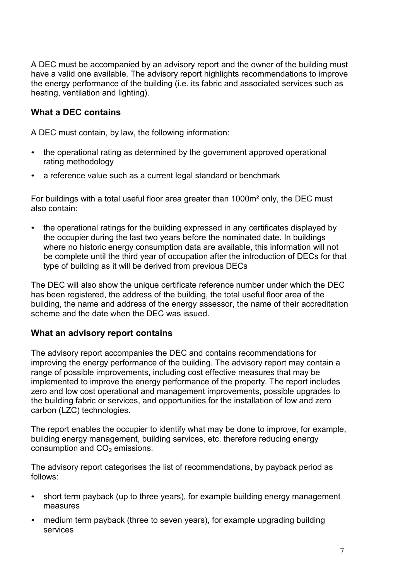A DEC must be accompanied by an advisory report and the owner of the building must have a valid one available. The advisory report highlights recommendations to improve the energy performance of the building (i.e. its fabric and associated services such as heating, ventilation and lighting).

### **What a DEC contains**

A DEC must contain, by law, the following information:

- the operational rating as determined by the government approved operational rating methodology
- a reference value such as a current legal standard or benchmark

For buildings with a total useful floor area greater than 1000m² only, the DEC must also contain:

• the operational ratings for the building expressed in any certificates displayed by the occupier during the last two years before the nominated date. In buildings where no historic energy consumption data are available, this information will not be complete until the third year of occupation after the introduction of DECs for that type of building as it will be derived from previous DECs

The DEC will also show the unique certificate reference number under which the DEC has been registered, the address of the building, the total useful floor area of the building, the name and address of the energy assessor, the name of their accreditation scheme and the date when the DEC was issued.

#### **What an advisory report contains**

The advisory report accompanies the DEC and contains recommendations for improving the energy performance of the building. The advisory report may contain a range of possible improvements, including cost effective measures that may be implemented to improve the energy performance of the property. The report includes zero and low cost operational and management improvements, possible upgrades to the building fabric or services, and opportunities for the installation of low and zero carbon (LZC) technologies.

The report enables the occupier to identify what may be done to improve, for example, building energy management, building services, etc. therefore reducing energy consumption and  $CO<sub>2</sub>$  emissions.

The advisory report categorises the list of recommendations, by payback period as follows:

- short term payback (up to three years), for example building energy management measures
- medium term payback (three to seven years), for example upgrading building services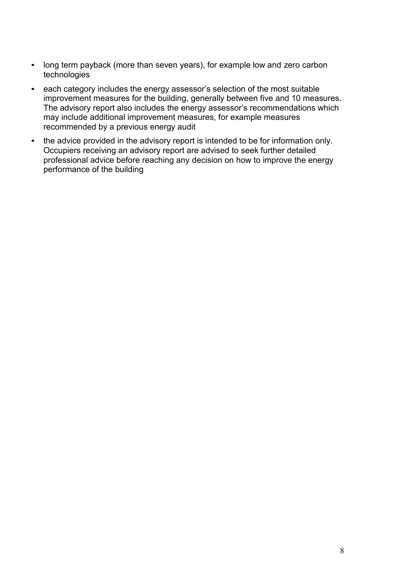- long term payback (more than seven years), for example low and zero carbon technologies
- each category includes the energy assessor's selection of the most suitable improvement measures for the building, generally between five and 10 measures. The advisory report also includes the energy assessor's recommendations which may include additional improvement measures, for example measures recommended by a previous energy audit
- the advice provided in the advisory report is intended to be for information only. Occupiers receiving an advisory report are advised to seek further detailed professional advice before reaching any decision on how to improve the energy performance of the building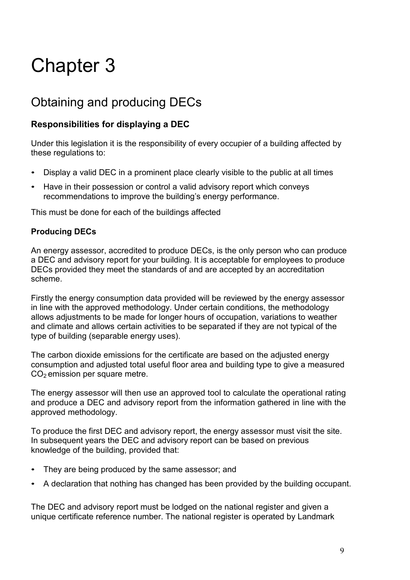# Obtaining and producing DECs

## **Responsibilities for displaying a DEC**

Under this legislation it is the responsibility of every occupier of a building affected by these regulations to:

- Display a valid DEC in a prominent place clearly visible to the public at all times
- Have in their possession or control a valid advisory report which conveys recommendations to improve the building's energy performance.

This must be done for each of the buildings affected

### **Producing DECs**

An energy assessor, accredited to produce DECs, is the only person who can produce a DEC and advisory report for your building. It is acceptable for employees to produce DECs provided they meet the standards of and are accepted by an accreditation scheme.

Firstly the energy consumption data provided will be reviewed by the energy assessor in line with the approved methodology. Under certain conditions, the methodology allows adjustments to be made for longer hours of occupation, variations to weather and climate and allows certain activities to be separated if they are not typical of the type of building (separable energy uses).

The carbon dioxide emissions for the certificate are based on the adjusted energy consumption and adjusted total useful floor area and building type to give a measured  $CO<sub>2</sub>$  emission per square metre.

The energy assessor will then use an approved tool to calculate the operational rating and produce a DEC and advisory report from the information gathered in line with the approved methodology.

To produce the first DEC and advisory report, the energy assessor must visit the site. In subsequent years the DEC and advisory report can be based on previous knowledge of the building, provided that:

- They are being produced by the same assessor; and
- A declaration that nothing has changed has been provided by the building occupant.

The DEC and advisory report must be lodged on the national register and given a unique certificate reference number. The national register is operated by Landmark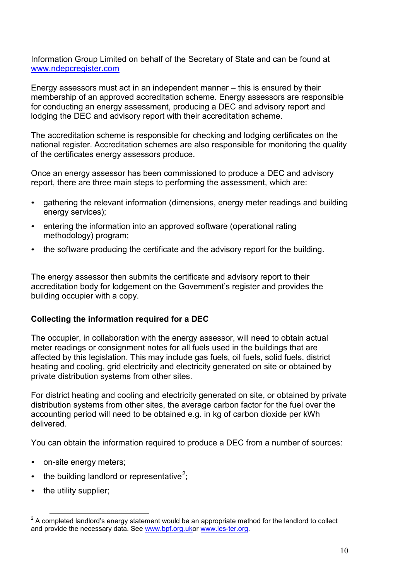Information Group Limited on behalf of the Secretary of State and can be found at [www.ndepcregister.com](http://www.ndepcregister.com/)

Energy assessors must act in an independent manner – this is ensured by their membership of an approved accreditation scheme. Energy assessors are responsible for conducting an energy assessment, producing a DEC and advisory report and lodging the DEC and advisory report with their accreditation scheme.

The accreditation scheme is responsible for checking and lodging certificates on the national register. Accreditation schemes are also responsible for monitoring the quality of the certificates energy assessors produce.

Once an energy assessor has been commissioned to produce a DEC and advisory report, there are three main steps to performing the assessment, which are:

- gathering the relevant information (dimensions, energy meter readings and building energy services);
- entering the information into an approved software (operational rating methodology) program;
- the software producing the certificate and the advisory report for the building.

The energy assessor then submits the certificate and advisory report to their accreditation body for lodgement on the Government's register and provides the building occupier with a copy.

#### **Collecting the information required for a DEC**

The occupier, in collaboration with the energy assessor, will need to obtain actual meter readings or consignment notes for all fuels used in the buildings that are affected by this legislation. This may include gas fuels, oil fuels, solid fuels, district heating and cooling, grid electricity and electricity generated on site or obtained by private distribution systems from other sites.

For district heating and cooling and electricity generated on site, or obtained by private distribution systems from other sites, the average carbon factor for the fuel over the accounting period will need to be obtained e.g. in kg of carbon dioxide per kWh delivered.

You can obtain the information required to produce a DEC from a number of sources:

- on-site energy meters;
- the building landlord or representative<sup>2</sup>;
- the utility supplier;

 $2^2$  A completed landlord's energy statement would be an appropriate method for the landlord to collect and provide the necessary data. See [www.bpf.org.uko](http://www.bpf.org.uk/)r [www.les-ter.org.](http://www.les-ter.org/)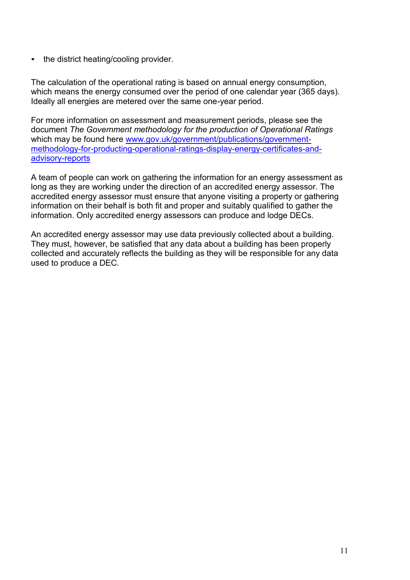• the district heating/cooling provider.

The calculation of the operational rating is based on annual energy consumption, which means the energy consumed over the period of one calendar year (365 days). Ideally all energies are metered over the same one-year period.

For more information on assessment and measurement periods, please see the document *The Government methodology for the production of Operational Ratings*  which may be found here [www.gov.uk/government/publications/government](https://www.gov.uk/government/publications/government-methodology-for-producting-operational-ratings-display-energy-certificates-and-advisory-reports)[methodology-for-producting-operational-ratings-display-energy-certificates-and](https://www.gov.uk/government/publications/government-methodology-for-producting-operational-ratings-display-energy-certificates-and-advisory-reports)[advisory-reports](https://www.gov.uk/government/publications/government-methodology-for-producting-operational-ratings-display-energy-certificates-and-advisory-reports)

A team of people can work on gathering the information for an energy assessment as long as they are working under the direction of an accredited energy assessor. The accredited energy assessor must ensure that anyone visiting a property or gathering information on their behalf is both fit and proper and suitably qualified to gather the information. Only accredited energy assessors can produce and lodge DECs.

An accredited energy assessor may use data previously collected about a building. They must, however, be satisfied that any data about a building has been properly collected and accurately reflects the building as they will be responsible for any data used to produce a DEC.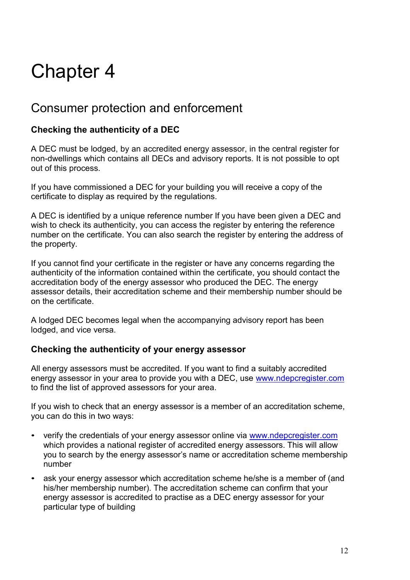# Consumer protection and enforcement

# **Checking the authenticity of a DEC**

A DEC must be lodged, by an accredited energy assessor, in the central register for non-dwellings which contains all DECs and advisory reports. It is not possible to opt out of this process.

If you have commissioned a DEC for your building you will receive a copy of the certificate to display as required by the regulations.

A DEC is identified by a unique reference number If you have been given a DEC and wish to check its authenticity, you can access the register by entering the reference number on the certificate. You can also search the register by entering the address of the property.

If you cannot find your certificate in the register or have any concerns regarding the authenticity of the information contained within the certificate, you should contact the accreditation body of the energy assessor who produced the DEC. The energy assessor details, their accreditation scheme and their membership number should be on the certificate.

A lodged DEC becomes legal when the accompanying advisory report has been lodged, and vice versa.

### **Checking the authenticity of your energy assessor**

All energy assessors must be accredited. If you want to find a suitably accredited energy assessor in your area to provide you with a DEC, use [www.ndepcregister.com](http://www.ndepcregister.com/) to find the list of approved assessors for your area.

If you wish to check that an energy assessor is a member of an accreditation scheme, you can do this in two ways:

- verify the credentials of your energy assessor online via [www.ndepcregister.com](http://www.ndepcregister.com/) which provides a national register of accredited energy assessors. This will allow you to search by the energy assessor's name or accreditation scheme membership number
- ask your energy assessor which accreditation scheme he/she is a member of (and his/her membership number). The accreditation scheme can confirm that your energy assessor is accredited to practise as a DEC energy assessor for your particular type of building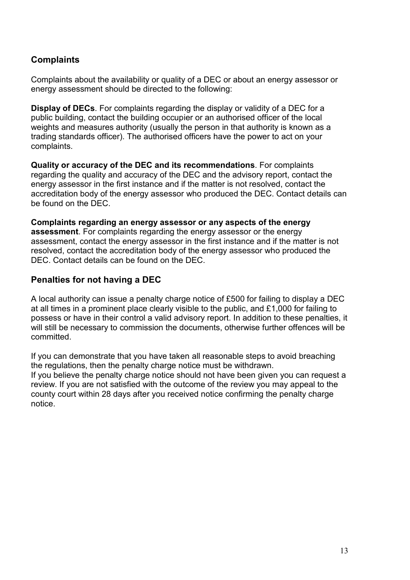## **Complaints**

Complaints about the availability or quality of a DEC or about an energy assessor or energy assessment should be directed to the following:

**Display of DECs**. For complaints regarding the display or validity of a DEC for a public building, contact the building occupier or an authorised officer of the local weights and measures authority (usually the person in that authority is known as a trading standards officer). The authorised officers have the power to act on your complaints.

**Quality or accuracy of the DEC and its recommendations**. For complaints regarding the quality and accuracy of the DEC and the advisory report, contact the energy assessor in the first instance and if the matter is not resolved, contact the accreditation body of the energy assessor who produced the DEC. Contact details can be found on the DEC.

**Complaints regarding an energy assessor or any aspects of the energy assessment**. For complaints regarding the energy assessor or the energy assessment, contact the energy assessor in the first instance and if the matter is not resolved, contact the accreditation body of the energy assessor who produced the DEC. Contact details can be found on the DEC.

### **Penalties for not having a DEC**

A local authority can issue a penalty charge notice of £500 for failing to display a DEC at all times in a prominent place clearly visible to the public, and £1,000 for failing to possess or have in their control a valid advisory report. In addition to these penalties, it will still be necessary to commission the documents, otherwise further offences will be committed.

If you can demonstrate that you have taken all reasonable steps to avoid breaching the regulations, then the penalty charge notice must be withdrawn.

If you believe the penalty charge notice should not have been given you can request a review. If you are not satisfied with the outcome of the review you may appeal to the county court within 28 days after you received notice confirming the penalty charge notice.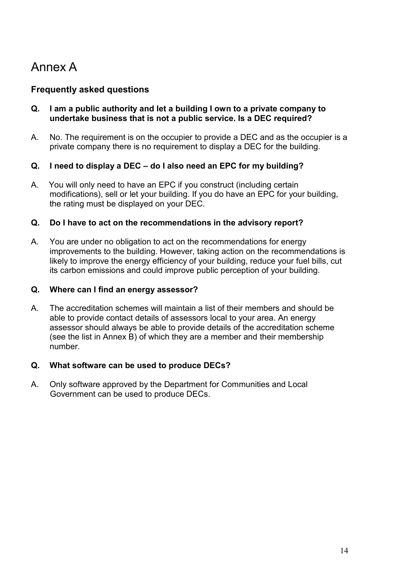# Annex A

### **Frequently asked questions**

- **Q. I am a public authority and let a building I own to a private company to undertake business that is not a public service. Is a DEC required?**
- A. No. The requirement is on the occupier to provide a DEC and as the occupier is a private company there is no requirement to display a DEC for the building.

#### **Q. I need to display a DEC – do I also need an EPC for my building?**

A. You will only need to have an EPC if you construct (including certain modifications), sell or let your building. If you do have an EPC for your building, the rating must be displayed on your DEC.

#### **Q. Do I have to act on the recommendations in the advisory report?**

A. You are under no obligation to act on the recommendations for energy improvements to the building. However, taking action on the recommendations is likely to improve the energy efficiency of your building, reduce your fuel bills, cut its carbon emissions and could improve public perception of your building.

#### **Q. Where can I find an energy assessor?**

A. The accreditation schemes will maintain a list of their members and should be able to provide contact details of assessors local to your area. An energy assessor should always be able to provide details of the accreditation scheme (see the list in Annex B) of which they are a member and their membership number.

#### **Q. What software can be used to produce DECs?**

A. Only software approved by the Department for Communities and Local Government can be used to produce DECs.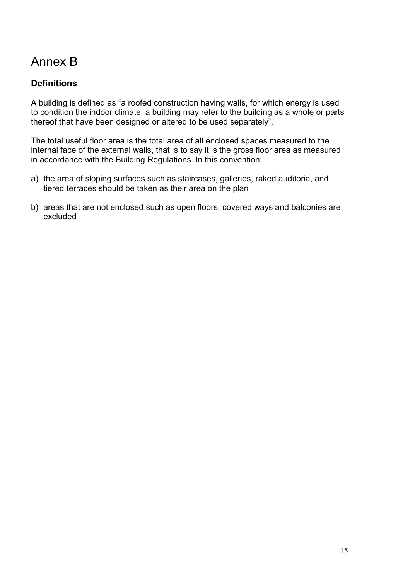# Annex B

# **Definitions**

A building is defined as "a roofed construction having walls, for which energy is used to condition the indoor climate; a building may refer to the building as a whole or parts thereof that have been designed or altered to be used separately".

The total useful floor area is the total area of all enclosed spaces measured to the internal face of the external walls, that is to say it is the gross floor area as measured in accordance with the Building Regulations. In this convention:

- a) the area of sloping surfaces such as staircases, galleries, raked auditoria, and tiered terraces should be taken as their area on the plan
- b) areas that are not enclosed such as open floors, covered ways and balconies are excluded